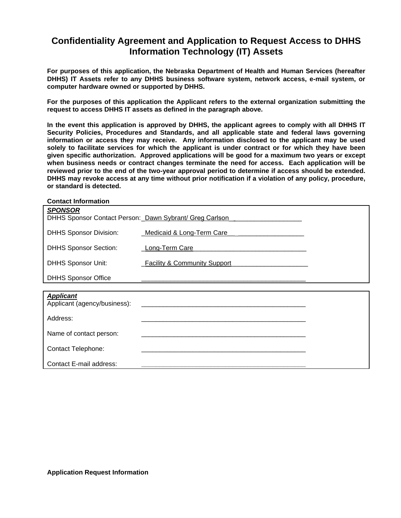## **Confidentiality Agreement and Application to Request Access to DHHS Information Technology (IT) Assets**

**For purposes of this application, the Nebraska Department of Health and Human Services (hereafter DHHS) IT Assets refer to any DHHS business software system, network access, e-mail system, or computer hardware owned or supported by DHHS.** 

**For the purposes of this application the Applicant refers to the external organization submitting the request to access DHHS IT assets as defined in the paragraph above.** 

**In the event this application is approved by DHHS, the applicant agrees to comply with all DHHS IT Security Policies, Procedures and Standards, and all applicable state and federal laws governing information or access they may receive. Any information disclosed to the applicant may be used solely to facilitate services for which the applicant is under contract or for which they have been given specific authorization. Approved applications will be good for a maximum two years or except when business needs or contract changes terminate the need for access. Each application will be reviewed prior to the end of the two-year approval period to determine if access should be extended. DHHS may revoke access at any time without prior notification if a violation of any policy, procedure, or standard is detected.** 

Contact E-mail address: **\_\_\_\_\_\_\_\_\_\_\_\_\_\_\_\_\_\_\_\_\_\_\_\_\_\_\_\_\_\_\_\_\_\_\_\_\_\_\_\_\_\_\_\_\_**

| <b>SPONSOR</b><br>DHHS Sponsor Contact Person: Dawn Sybrant/ Greg Carlson |                               |  |  |
|---------------------------------------------------------------------------|-------------------------------|--|--|
| <b>DHHS Sponsor Division:</b>                                             | Medicaid & Long-Term Care     |  |  |
| <b>DHHS Sponsor Section:</b>                                              | <b>Long-Term Care</b>         |  |  |
| <b>DHHS Sponsor Unit:</b>                                                 | _Facility & Community Support |  |  |
| <b>DHHS Sponsor Office</b>                                                |                               |  |  |
|                                                                           |                               |  |  |
| <b>Applicant</b><br>Applicant (agency/business):                          |                               |  |  |
| Address:                                                                  |                               |  |  |
| Name of contact person:                                                   |                               |  |  |
| <b>Contact Telephone:</b>                                                 |                               |  |  |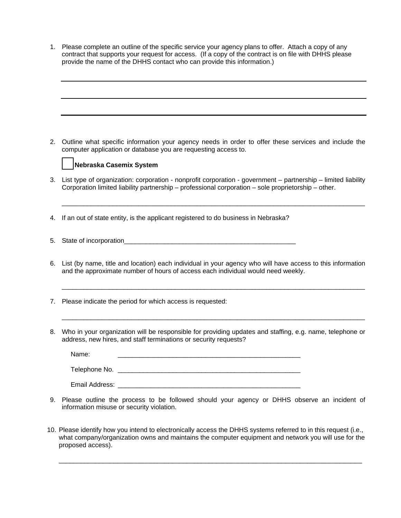1. Please complete an outline of the specific service your agency plans to offer. Attach a copy of any contract that supports your request for access. (If a copy of the contract is on file with DHHS please provide the name of the DHHS contact who can provide this information.)

2. Outline what specific information your agency needs in order to offer these services and include the computer application or database you are requesting access to.



3. List type of organization: corporation - nonprofit corporation - government – partnership – limited liability Corporation limited liability partnership – professional corporation – sole proprietorship – other.

\_\_\_\_\_\_\_\_\_\_\_\_\_\_\_\_\_\_\_\_\_\_\_\_\_\_\_\_\_\_\_\_\_\_\_\_\_\_\_\_\_\_\_\_\_\_\_\_\_\_\_\_\_\_\_\_\_\_\_\_\_\_\_\_\_\_\_\_\_\_\_\_\_\_\_\_\_\_\_\_\_\_\_

- 4. If an out of state entity, is the applicant registered to do business in Nebraska?
- 5. State of incorporation\_\_\_\_\_\_\_\_\_\_\_\_\_\_\_\_\_\_\_\_\_\_\_\_\_\_\_\_\_\_\_\_\_\_\_\_\_\_\_\_\_\_\_\_\_\_\_
- 6. List (by name, title and location) each individual in your agency who will have access to this information and the approximate number of hours of access each individual would need weekly.

\_\_\_\_\_\_\_\_\_\_\_\_\_\_\_\_\_\_\_\_\_\_\_\_\_\_\_\_\_\_\_\_\_\_\_\_\_\_\_\_\_\_\_\_\_\_\_\_\_\_\_\_\_\_\_\_\_\_\_\_\_\_\_\_\_\_\_\_\_\_\_\_\_\_\_\_\_\_\_\_\_\_\_

\_\_\_\_\_\_\_\_\_\_\_\_\_\_\_\_\_\_\_\_\_\_\_\_\_\_\_\_\_\_\_\_\_\_\_\_\_\_\_\_\_\_\_\_\_\_\_\_\_\_\_\_\_\_\_\_\_\_\_\_\_\_\_\_\_\_\_\_\_\_\_\_\_\_\_\_\_\_\_\_\_\_\_

- 7. Please indicate the period for which access is requested:
- 8. Who in your organization will be responsible for providing updates and staffing, e.g. name, telephone or address, new hires, and staff terminations or security requests?

| Name:          |  |
|----------------|--|
| Telephone No.  |  |
| Email Address: |  |

- 9. Please outline the process to be followed should your agency or DHHS observe an incident of information misuse or security violation.
- 10. Please identify how you intend to electronically access the DHHS systems referred to in this request (i.e., what company/organization owns and maintains the computer equipment and network you will use for the proposed access).

\_\_\_\_\_\_\_\_\_\_\_\_\_\_\_\_\_\_\_\_\_\_\_\_\_\_\_\_\_\_\_\_\_\_\_\_\_\_\_\_\_\_\_\_\_\_\_\_\_\_\_\_\_\_\_\_\_\_\_\_\_\_\_\_\_\_\_\_\_\_\_\_\_\_\_\_\_\_\_\_\_\_\_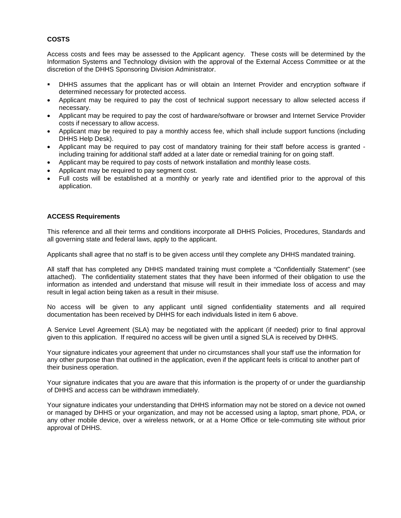## **COSTS**

Access costs and fees may be assessed to the Applicant agency. These costs will be determined by the Information Systems and Technology division with the approval of the External Access Committee or at the discretion of the DHHS Sponsoring Division Administrator.

- DHHS assumes that the applicant has or will obtain an Internet Provider and encryption software if determined necessary for protected access.
- Applicant may be required to pay the cost of technical support necessary to allow selected access if necessary.
- Applicant may be required to pay the cost of hardware/software or browser and Internet Service Provider costs if necessary to allow access.
- Applicant may be required to pay a monthly access fee, which shall include support functions (including DHHS Help Desk).
- Applicant may be required to pay cost of mandatory training for their staff before access is granted including training for additional staff added at a later date or remedial training for on going staff.
- Applicant may be required to pay costs of network installation and monthly lease costs.
- Applicant may be required to pay segment cost.
- Full costs will be established at a monthly or yearly rate and identified prior to the approval of this application.

## **ACCESS Requirements**

This reference and all their terms and conditions incorporate all DHHS Policies, Procedures, Standards and all governing state and federal laws, apply to the applicant.

Applicants shall agree that no staff is to be given access until they complete any DHHS mandated training.

All staff that has completed any DHHS mandated training must complete a "Confidentially Statement" (see attached). The confidentiality statement states that they have been informed of their obligation to use the information as intended and understand that misuse will result in their immediate loss of access and may result in legal action being taken as a result in their misuse.

No access will be given to any applicant until signed confidentiality statements and all required documentation has been received by DHHS for each individuals listed in item 6 above.

A Service Level Agreement (SLA) may be negotiated with the applicant (if needed) prior to final approval given to this application. If required no access will be given until a signed SLA is received by DHHS.

Your signature indicates your agreement that under no circumstances shall your staff use the information for any other purpose than that outlined in the application, even if the applicant feels is critical to another part of their business operation.

Your signature indicates that you are aware that this information is the property of or under the guardianship of DHHS and access can be withdrawn immediately.

Your signature indicates your understanding that DHHS information may not be stored on a device not owned or managed by DHHS or your organization, and may not be accessed using a laptop, smart phone, PDA, or any other mobile device, over a wireless network, or at a Home Office or tele-commuting site without prior approval of DHHS.